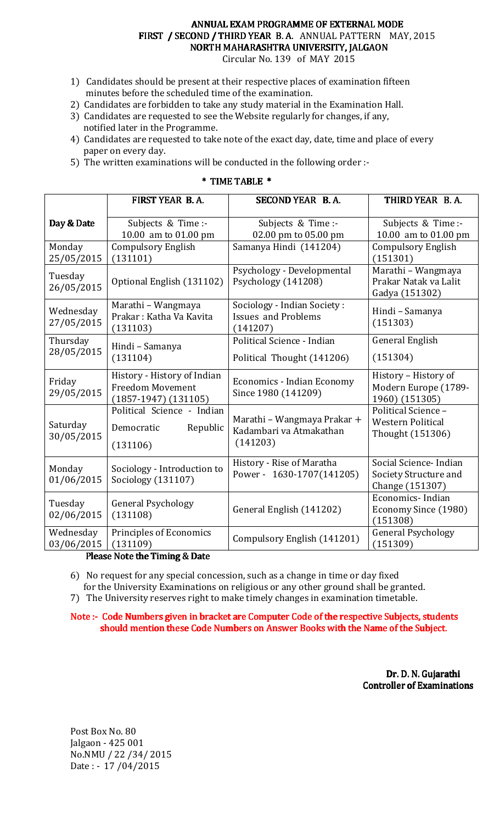# ANNUAL EXAM PROGRAMME OF EXTERNAL MODE FIRST / SECOND / THIRD YEAR B.A. ANNUAL PATTERN MAY, 2015 NORTH MAHARASHTRA UNIVERSITY, JALGAON

Circular No. 139 of MAY 2015

- 1) Candidates should be present at their respective places of examination fifteen minutes before the scheduled time of the examination.
- 2) Candidates are forbidden to take any study material in the Examination Hall.
- 3) Candidates are requested to see the Website regularly for changes, if any, notified later in the Programme.
- 4) Candidates are requested to take note of the exact day, date, time and place of every paper on every day.
- 5) The written examinations will be conducted in the following order :-

|                         | FIRST YEAR B.A.                                                                    | SECOND YEAR B.A.                                                      | THIRD YEAR B.A.                                                     |
|-------------------------|------------------------------------------------------------------------------------|-----------------------------------------------------------------------|---------------------------------------------------------------------|
| Day & Date              | Subjects & Time :-<br>10.00 am to 01.00 pm                                         | Subjects & Time :-<br>02.00 pm to 05.00 pm                            | Subjects & Time :-<br>10.00 am to 01.00 pm                          |
| Monday<br>25/05/2015    | <b>Compulsory English</b><br>(131101)                                              | Samanya Hindi (141204)                                                | <b>Compulsory English</b><br>(151301)                               |
| Tuesday<br>26/05/2015   | Optional English (131102)                                                          | Psychology - Developmental<br>Psychology (141208)                     | Marathi - Wangmaya<br>Prakar Natak va Lalit<br>Gadya (151302)       |
| Wednesday<br>27/05/2015 | Marathi - Wangmaya<br>Prakar: Katha Va Kavita<br>(131103)                          | Sociology - Indian Society:<br><b>Issues and Problems</b><br>(141207) | Hindi - Samanya<br>(151303)                                         |
| Thursday<br>28/05/2015  | Hindi - Samanya<br>(131104)                                                        | Political Science - Indian<br>Political Thought (141206)              | <b>General English</b><br>(151304)                                  |
| Friday<br>29/05/2015    | History - History of Indian<br><b>Freedom Movement</b><br>$(1857-1947)$ $(131105)$ | <b>Economics - Indian Economy</b><br>Since 1980 (141209)              | History - History of<br>Modern Europe (1789-<br>1960) (151305)      |
| Saturday<br>30/05/2015  | Political Science - Indian<br>Democratic<br>Republic<br>(131106)                   | Marathi - Wangmaya Prakar +<br>Kadambari va Atmakathan<br>(141203)    | Political Science -<br><b>Western Political</b><br>Thought (151306) |
| Monday<br>01/06/2015    | Sociology - Introduction to<br>Sociology (131107)                                  | History - Rise of Maratha<br>Power - 1630-1707(141205)                | Social Science- Indian<br>Society Structure and<br>Change (151307)  |
| Tuesday<br>02/06/2015   | <b>General Psychology</b><br>(131108)                                              | General English (141202)                                              | Economics-Indian<br>Economy Since (1980)<br>(151308)                |
| Wednesday<br>03/06/2015 | Principles of Economics<br>(131109)<br>Dloggo Noto the Timing & Date               | Compulsory English (141201)                                           | <b>General Psychology</b><br>(151309)                               |

### \* TIME TABLE \*

Please Note the Timing & Date

6) No request for any special concession, such as a change in time or day fixed for the University Examinations on religious or any other ground shall be granted.

7) The University reserves right to make timely changes in examination timetable.

Note :- Code Numbers given in bracket are Computer Code of the respective Subjects, students should mention these Code Numbers on Answer Books with the Name of the Subject.

> Dr. D. N. Gujarathi Controller of Examinations

Post Box No. 80 Jalgaon - 425 001 No.NMU / 22 /34/ 2015 Date : - 17 /04/2015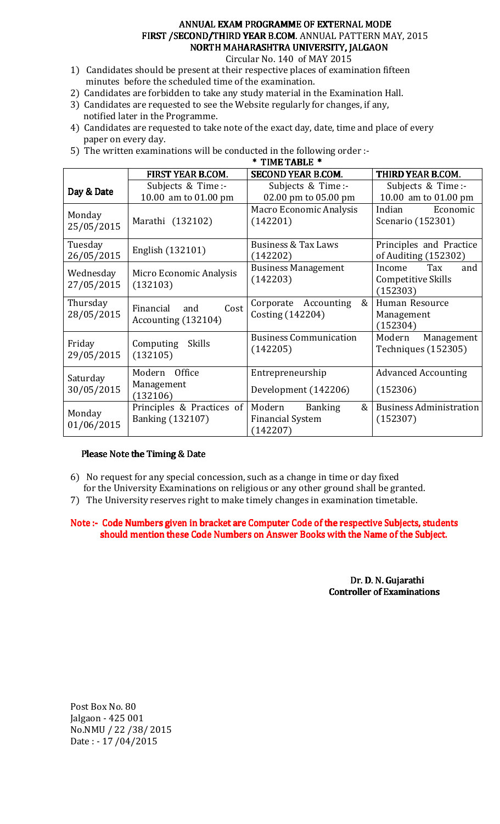### ANNUAL EXAM PROGRAMME OF EXTERNAL MODE FIRST / SECOND/THIRD YEAR B.COM. ANNUAL PATTERN MAY, 2015 NORTH MAHARASHTRA UNIVERSITY, JALGAON

Circular No. 140 of MAY 2015

- 1) Candidates should be present at their respective places of examination fifteen minutes before the scheduled time of the examination.
- 2) Candidates are forbidden to take any study material in the Examination Hall.
- 3) Candidates are requested to see the Website regularly for changes, if any, notified later in the Programme.
- 4) Candidates are requested to take note of the exact day, date, time and place of every paper on every day.
- 5) The written examinations will be conducted in the following order :-

| * TIME TABLE *          |                                                      |                                                                      |                                                               |
|-------------------------|------------------------------------------------------|----------------------------------------------------------------------|---------------------------------------------------------------|
|                         | FIRST YEAR B.COM.                                    | <b>SECOND YEAR B.COM.</b>                                            | THIRD YEAR B.COM.                                             |
| Day & Date              | Subjects & Time:-<br>10.00 am to 01.00 pm            | Subjects & Time:-                                                    | Subjects & Time:-<br>10.00 am to 01.00 pm                     |
|                         |                                                      | 02.00 pm to 05.00 pm                                                 |                                                               |
| Monday<br>25/05/2015    | Marathi (132102)                                     | <b>Macro Economic Analysis</b><br>(142201)                           | Economic<br>Indian<br>Scenario (152301)                       |
| Tuesday<br>26/05/2015   | English (132101)                                     | <b>Business &amp; Tax Laws</b><br>(142202)                           | Principles and Practice<br>of Auditing (152302)               |
| Wednesday<br>27/05/2015 | Micro Economic Analysis<br>(132103)                  | <b>Business Management</b><br>(142203)                               | Tax<br>Income<br>and<br><b>Competitive Skills</b><br>(152303) |
| Thursday<br>28/05/2015  | Financial<br>Cost<br>and<br>Accounting (132104)      | &<br>Corporate Accounting<br>Costing (142204)                        | Human Resource<br>Management<br>(152304)                      |
| Friday<br>29/05/2015    | Skills<br>Computing<br>(132105)                      | <b>Business Communication</b><br>(142205)                            | Modern<br>Management<br>Techniques (152305)                   |
| Saturday<br>30/05/2015  | Modern Office<br>Management<br>(132106)              | Entrepreneurship<br>Development (142206)                             | <b>Advanced Accounting</b><br>(152306)                        |
| Monday<br>01/06/2015    | Principles & Practices of<br><b>Banking (132107)</b> | &<br>Modern<br><b>Banking</b><br><b>Financial System</b><br>(142207) | <b>Business Administration</b><br>(152307)                    |

### Please Note the Timing & Date

- 6) No request for any special concession, such as a change in time or day fixed
- for the University Examinations on religious or any other ground shall be granted.
- 7) The University reserves right to make timely changes in examination timetable.

Note :- Code Numbers given in bracket are Computer Code of the respective Subjects, students should mention these Code Numbers on Answer Books with the Name of the Subject.

> Dr. D. N. Gujarathi Controller of Examinations

Post Box No. 80 Jalgaon - 425 001 No.NMU / 22 /38/ 2015 Date : - 17 /04/2015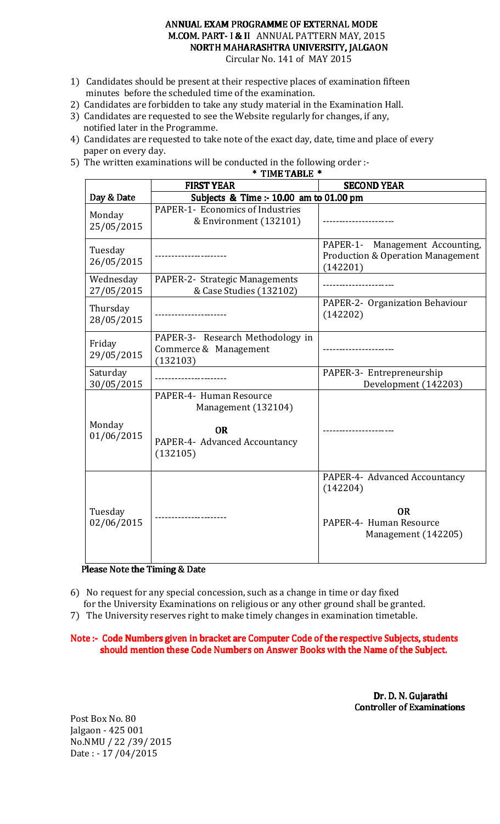### ANNUAL EXAM PROGRAMME OF EXTERNAL MODE M.COM. PART-I & II ANNUAL PATTERN MAY, 2015 NORTH MAHARASHTRA UNIVERSITY, JALGAON Circular No. 141 of MAY 2015

- 1) Candidates should be present at their respective places of examination fifteen minutes before the scheduled time of the examination.
- 2) Candidates are forbidden to take any study material in the Examination Hall.
- 3) Candidates are requested to see the Website regularly for changes, if any, notified later in the Programme.
- 4) Candidates are requested to take note of the exact day, date, time and place of every paper on every day.
- 5) The written examinations will be conducted in the following order :-

| TIME TABLE *            |                                                                                                          |                                                                                                          |
|-------------------------|----------------------------------------------------------------------------------------------------------|----------------------------------------------------------------------------------------------------------|
|                         | <b>FIRST YEAR</b>                                                                                        | <b>SECOND YEAR</b>                                                                                       |
| Day & Date              | Subjects & Time :- 10.00 am to 01.00 pm                                                                  |                                                                                                          |
| Monday<br>25/05/2015    | PAPER-1- Economics of Industries<br>& Environment (132101)                                               |                                                                                                          |
| Tuesday<br>26/05/2015   |                                                                                                          | PAPER-1-<br>Management Accounting,<br><b>Production &amp; Operation Management</b><br>(142201)           |
| Wednesday<br>27/05/2015 | PAPER-2- Strategic Managements<br>& Case Studies (132102)                                                |                                                                                                          |
| Thursday<br>28/05/2015  |                                                                                                          | PAPER-2- Organization Behaviour<br>(142202)                                                              |
| Friday<br>29/05/2015    | PAPER-3- Research Methodology in<br>Commerce & Management<br>(132103)                                    |                                                                                                          |
| Saturday<br>30/05/2015  |                                                                                                          | PAPER-3- Entrepreneurship<br>Development (142203)                                                        |
| Monday<br>01/06/2015    | PAPER-4- Human Resource<br>Management (132104)<br><b>OR</b><br>PAPER-4- Advanced Accountancy<br>(132105) |                                                                                                          |
| Tuesday<br>02/06/2015   |                                                                                                          | PAPER-4- Advanced Accountancy<br>(142204)<br><b>OR</b><br>PAPER-4- Human Resource<br>Management (142205) |

### Please Note the Timing & Date

6) No request for any special concession, such as a change in time or day fixed for the University Examinations on religious or any other ground shall be granted.

7) The University reserves right to make timely changes in examination timetable.

Note :- Code Numbers given in bracket are Computer Code of the respective Subjects, students

should mention these Code Numbers on Answer Books with the Name of the Subject.

 Dr. D. N. Gujarathi Controller of Examinations

Post Box No. 80 Jalgaon - 425 001 No.NMU / 22 /39/ 2015 Date : - 17 /04/2015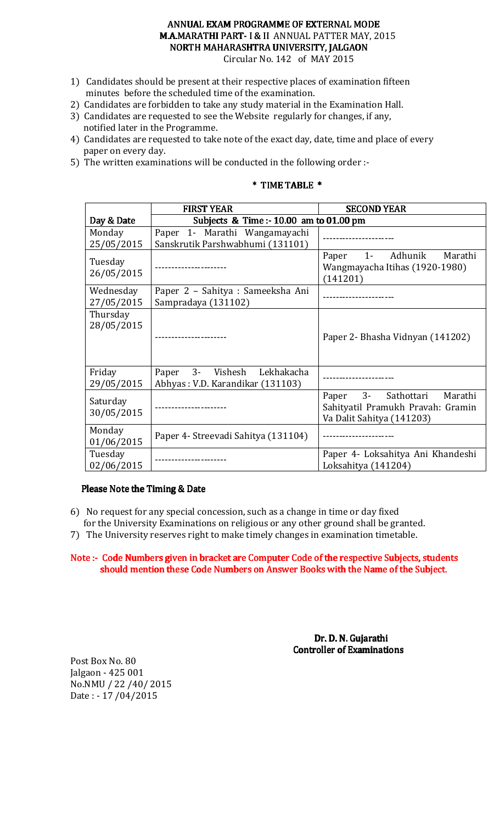### ANNUAL EXAM PROGRAMME OF EXTERNAL MODE M.A.MARATHI PART-I & II ANNUAL PATTER MAY, 2015 NORTH MAHARASHTRA UNIVERSITY, JALGAON Circular No. 142 of MAY 2015

- 1) Candidates should be present at their respective places of examination fifteen minutes before the scheduled time of the examination.
- 2) Candidates are forbidden to take any study material in the Examination Hall.
- 3) Candidates are requested to see the Website regularly for changes, if any, notified later in the Programme.
- 4) Candidates are requested to take note of the exact day, date, time and place of every paper on every day.
- 5) The written examinations will be conducted in the following order :-

### \* TIME TABLE \* TIME \*

|                         | <b>FIRST YEAR</b>                                                     | <b>SECOND YEAR</b>                                                                               |
|-------------------------|-----------------------------------------------------------------------|--------------------------------------------------------------------------------------------------|
| Day & Date              | Subjects & Time: - 10.00 am to 01.00 pm                               |                                                                                                  |
| Monday                  | Paper 1- Marathi Wangamayachi                                         |                                                                                                  |
| 25/05/2015              | Sanskrutik Parshwabhumi (131101)                                      |                                                                                                  |
| Tuesday<br>26/05/2015   | --------------------                                                  | Paper 1- Adhunik<br>Marathi<br>Wangmayacha Itihas (1920-1980)<br>(141201)                        |
| Wednesday<br>27/05/2015 | Paper 2 - Sahitya : Sameeksha Ani<br>Sampradaya (131102)              | ----------------                                                                                 |
| Thursday<br>28/05/2015  |                                                                       | Paper 2- Bhasha Vidnyan (141202)                                                                 |
| Friday<br>29/05/2015    | 3- Vishesh<br>Lekhakacha<br>Paper<br>Abhyas: V.D. Karandikar (131103) |                                                                                                  |
| Saturday<br>30/05/2015  |                                                                       | Paper 3- Sathottari<br>Marathi<br>Sahityatil Pramukh Pravah: Gramin<br>Va Dalit Sahitya (141203) |
| Monday<br>01/06/2015    | Paper 4- Streevadi Sahitya (131104)                                   |                                                                                                  |
| Tuesday<br>02/06/2015   |                                                                       | Paper 4- Loksahitya Ani Khandeshi<br>Loksahitya (141204)                                         |

### Please Note the Timing & Date

- 6) No request for any special concession, such as a change in time or day fixed for the University Examinations on religious or any other ground shall be granted.
- 7) The University reserves right to make timely changes in examination timetable.

### Note :- Code Numbers given in bracket are Computer Code of the respective Subjects, students should mention these Code Numbers on Answer Books with the Name of the Subject.

Dr. D. N. Gujarathi Controller of Examinations

Post Box No. 80 Jalgaon - 425 001 No.NMU / 22 /40/ 2015 Date : - 17 /04/2015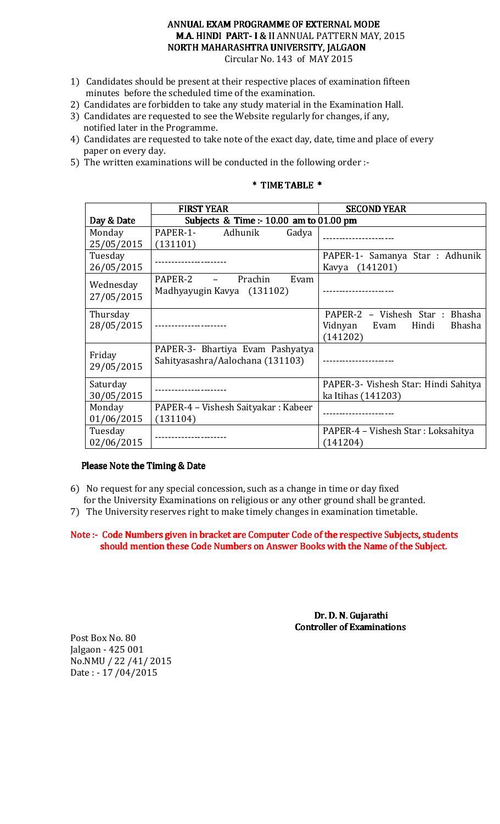### ANNUAL EXAM PROGRAMME OF EXTERNAL MODE M.A. HINDI PART-I & II ANNUAL PATTERN MAY, 2015 NORTH MAHARASHTRA UNIVERSITY, JALGAON Circular No. 143 of MAY 2015

1) Candidates should be present at their respective places of examination fifteen minutes before the scheduled time of the examination.

- 2) Candidates are forbidden to take any study material in the Examination Hall.
- 3) Candidates are requested to see the Website regularly for changes, if any, notified later in the Programme.
- 4) Candidates are requested to take note of the exact day, date, time and place of every paper on every day.
- 5) The written examinations will be conducted in the following order :-

### \* TIME TABLE \* TIME \*

|                         | <b>FIRST YEAR</b>                                        | <b>SECOND YEAR</b>                   |
|-------------------------|----------------------------------------------------------|--------------------------------------|
| Day & Date              | Subjects $&$ Time :- 10.00 am to 01.00 pm                |                                      |
| Monday                  | PAPER-1-<br>Adhunik<br>Gadya                             |                                      |
| 25/05/2015              | (131101)                                                 |                                      |
| Tuesday                 |                                                          | PAPER-1- Samanya Star : Adhunik      |
| 26/05/2015              |                                                          | (141201)<br>Kavya                    |
| Wednesday<br>27/05/2015 | PAPER-2<br>Prachin<br>Evam<br>Madhyayugin Kavya (131102) |                                      |
| Thursday                |                                                          | PAPER-2 - Vishesh Star : Bhasha      |
| 28/05/2015              |                                                          | <b>Bhasha</b><br>Vidnyan Evam Hindi  |
|                         |                                                          | (141202)                             |
| Friday                  | PAPER-3- Bhartiya Evam Pashyatya                         |                                      |
| 29/05/2015              | Sahityasashra/Aalochana (131103)                         |                                      |
|                         |                                                          |                                      |
| Saturday                |                                                          | PAPER-3- Vishesh Star: Hindi Sahitya |
| 30/05/2015              |                                                          | ka Itihas (141203)                   |
| Monday                  | PAPER-4 – Vishesh Saityakar: Kabeer                      |                                      |
| 01/06/2015              | (131104)                                                 |                                      |
| Tuesday                 |                                                          | PAPER-4 – Vishesh Star: Loksahitya   |
| 02/06/2015              |                                                          | (141204)                             |

### Please Note the Timing & Date

- 6) No request for any special concession, such as a change in time or day fixed for the University Examinations on religious or any other ground shall be granted.
- 7) The University reserves right to make timely changes in examination timetable.

Note :- Code Numbers given in bracket are Computer Code of the respective Subjects, students should mention these Code Numbers on Answer Books with the Name of the Subject.

> Dr. D. N. Gujarathi Controller of Examinations

Post Box No. 80 Jalgaon - 425 001 No.NMU / 22 /41/ 2015 Date : - 17 /04/2015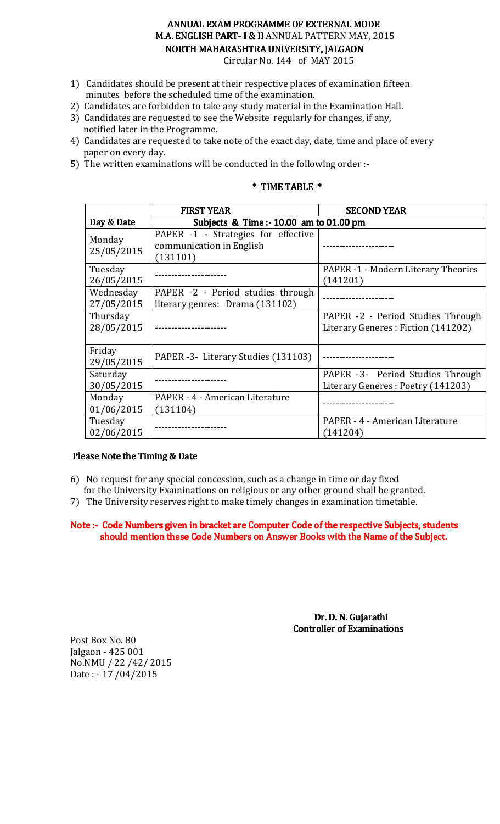# ANNUAL EXAM PROGRAMME OF EXTERNAL MODE M.A. ENGLISH PART-I & II ANNUAL PATTERN MAY, 2015 NORTH MAHARASHTRA UNIVERSITY, JALGAON

Circular No. 144 of MAY 2015

- 1) Candidates should be present at their respective places of examination fifteen minutes before the scheduled time of the examination.
- 2) Candidates are forbidden to take any study material in the Examination Hall.
- 3) Candidates are requested to see the Website regularly for changes, if any, notified later in the Programme.
- 4) Candidates are requested to take note of the exact day, date, time and place of every paper on every day.
- 5) The written examinations will be conducted in the following order :-

## \* TIME TABLE \* TIME \*

|                         | <b>FIRST YEAR</b>                                                           | <b>SECOND YEAR</b>                                                      |  |
|-------------------------|-----------------------------------------------------------------------------|-------------------------------------------------------------------------|--|
| Day & Date              | Subjects & Time :- 10.00 am to 01.00 pm                                     |                                                                         |  |
| Monday<br>25/05/2015    | PAPER -1 - Strategies for effective<br>communication in English<br>(131101) |                                                                         |  |
| Tuesday<br>26/05/2015   |                                                                             | <b>PAPER -1 - Modern Literary Theories</b><br>(141201)                  |  |
| Wednesday<br>27/05/2015 | PAPER -2 - Period studies through<br>literary genres: Drama (131102)        |                                                                         |  |
| Thursday<br>28/05/2015  | ----------------                                                            | PAPER -2 - Period Studies Through<br>Literary Generes: Fiction (141202) |  |
| Friday<br>29/05/2015    | PAPER -3 - Literary Studies (131103)                                        |                                                                         |  |
| Saturday<br>30/05/2015  |                                                                             | PAPER -3- Period Studies Through<br>Literary Generes: Poetry (141203)   |  |
| Monday<br>01/06/2015    | PAPER - 4 - American Literature<br>(131104)                                 |                                                                         |  |
| Tuesday<br>02/06/2015   |                                                                             | PAPER - 4 - American Literature<br>(141204)                             |  |

### Please Note the Timing & Date

- 6) No request for any special concession, such as a change in time or day fixed for the University Examinations on religious or any other ground shall be granted.
- 7) The University reserves right to make timely changes in examination timetable.

Note :- Code Numbers given in bracket are Computer Code of the respective Subjects, students should mention these Code Numbers on Answer Books with the Name of the Subject.

> Dr. D. N. Gujarathi Controller of Examinations

Post Box No. 80 Jalgaon - 425 001 No.NMU / 22 /42/ 2015 Date : - 17 /04/2015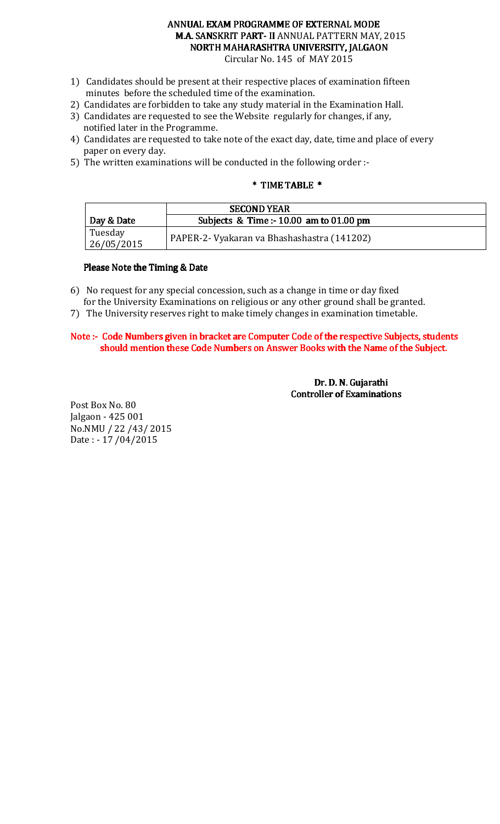# ANNUAL EXAM PROGRAMME OF EXTERNAL MODE M.A. SANSKRIT PART- II ANNUAL PATTERN MAY, 2015 NORTH MAHARASHTRA UNIVERSITY, JALGAON

Circular No. 145 of MAY 2015

- 1) Candidates should be present at their respective places of examination fifteen minutes before the scheduled time of the examination.
- 2) Candidates are forbidden to take any study material in the Examination Hall.
- 3) Candidates are requested to see the Website regularly for changes, if any, notified later in the Programme.
- 4) Candidates are requested to take note of the exact day, date, time and place of every paper on every day.
- 5) The written examinations will be conducted in the following order :-

### \* TIME TABLE \* TIME \*

|            | <b>SECOND YEAR</b>                          |
|------------|---------------------------------------------|
| Day & Date | Subjects & Time :- $10.00$ am to $01.00$ pm |
| Tuesday    |                                             |
| 26/05/2015 | PAPER-2- Vyakaran va Bhashashastra (141202) |

### Please Note the Timing & Date

- 6) No request for any special concession, such as a change in time or day fixed for the University Examinations on religious or any other ground shall be granted.
- 7) The University reserves right to make timely changes in examination timetable.

### Note :- Code Numbers given in bracket are Computer Code of the respective Subjects, students should mention these Code Numbers on Answer Books with the Name of the Subject.

 Dr. D. N. Gujarathi Controller of Examinations

Post Box No. 80 Jalgaon - 425 001 No.NMU / 22 /43/ 2015 Date : - 17 /04/2015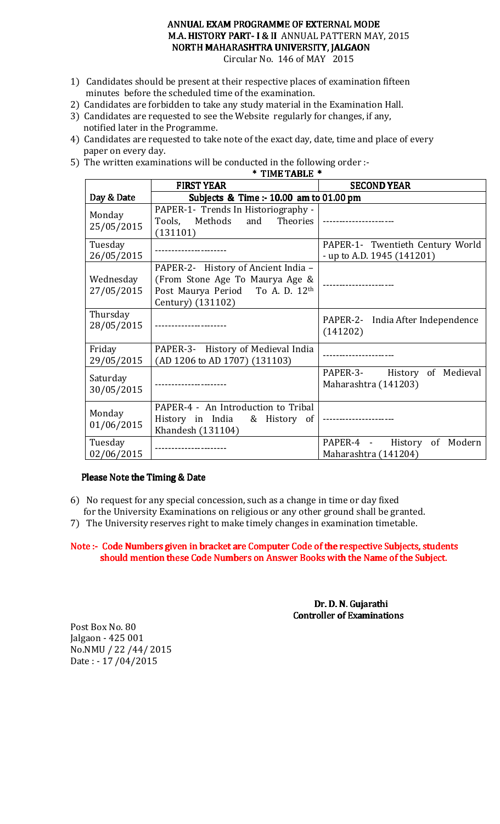### ANNUAL EXAM PROGRAMME OF EXTERNAL MODE M.A. HISTORY PART- I & II ANNUAL PATTERN MAY, 2015 NORTH MAHARASHTRA UNIVERSITY, JALGAON Circular No. 146 of MAY 2015

 $*$  TIME TABLE  $*$ 

- 1) Candidates should be present at their respective places of examination fifteen minutes before the scheduled time of the examination.
- 2) Candidates are forbidden to take any study material in the Examination Hall.
- 3) Candidates are requested to see the Website regularly for changes, if any, notified later in the Programme.
- 4) Candidates are requested to take note of the exact day, date, time and place of every paper on every day.
- 5) The written examinations will be conducted in the following order :-

|                         | <b>FIRST YEAR</b>                                                                                                               | <b>SECOND YEAR</b>                                               |
|-------------------------|---------------------------------------------------------------------------------------------------------------------------------|------------------------------------------------------------------|
| Day & Date              | Subjects & Time :- 10.00 am to 01.00 pm                                                                                         |                                                                  |
| Monday<br>25/05/2015    | PAPER-1- Trends In Historiography -<br>Methods and<br>Tools,<br>(131101)                                                        | Theories   ----------------------                                |
| Tuesday<br>26/05/2015   | -------------------                                                                                                             | PAPER-1- Twentieth Century World<br>- up to A.D. 1945 $(141201)$ |
| Wednesday<br>27/05/2015 | PAPER-2- History of Ancient India -<br>(From Stone Age To Maurya Age &<br>Post Maurya Period To A. D. 12th<br>Century) (131102) |                                                                  |
| Thursday<br>28/05/2015  |                                                                                                                                 | PAPER-2- India After Independence<br>(141202)                    |
| Friday<br>29/05/2015    | PAPER-3- History of Medieval India<br>(AD 1206 to AD 1707) (131103)                                                             |                                                                  |
| Saturday<br>30/05/2015  |                                                                                                                                 | PAPER-3- History of Medieval<br>Maharashtra (141203)             |
| Monday<br>01/06/2015    | PAPER-4 - An Introduction to Tribal<br>History in India & History of<br>Khandesh (131104)                                       |                                                                  |
| Tuesday<br>02/06/2015   |                                                                                                                                 | PAPER-4 - History of Modern<br>Maharashtra (141204)              |

### Please Note the Timing & Date

- 6) No request for any special concession, such as a change in time or day fixed for the University Examinations on religious or any other ground shall be granted.
- 7) The University reserves right to make timely changes in examination timetable.

Note :- Code Numbers given in bracket are Computer Code of the respective Subjects, students should mention these Code Numbers on Answer Books with the Name of the Subject.

> Dr. D. N. Gujarathi Controller of Examinations

Post Box No. 80 Jalgaon - 425 001 No.NMU / 22 /44/ 2015 Date : - 17 /04/2015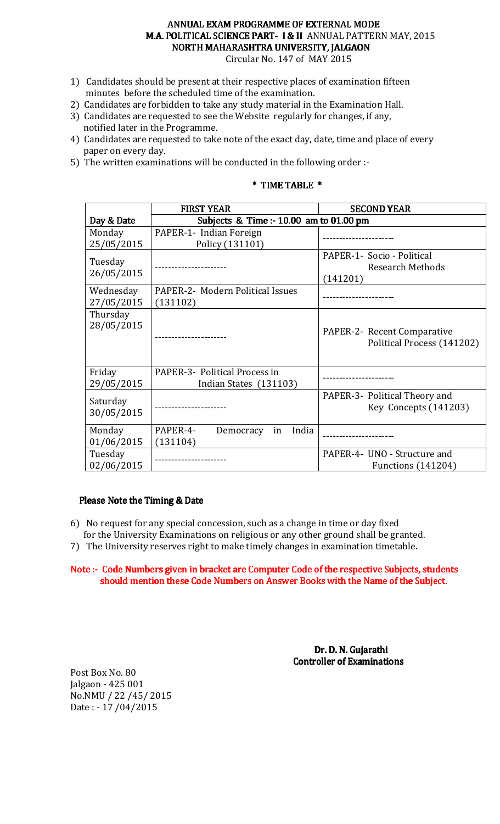# ANNUAL EXAM PROGRAMME OF EXTERNAL MODE M.A. POLITICAL SCIENCE PART- I & II ANNUAL PATTERN MAY, 2015 NORTH MAHARASHTRA UNIVERSITY, JALGAON

Circular No. 147 of MAY 2015

- 1) Candidates should be present at their respective places of examination fifteen minutes before the scheduled time of the examination.
- 2) Candidates are forbidden to take any study material in the Examination Hall.
- 3) Candidates are requested to see the Website regularly for changes, if any, notified later in the Programme.
- 4) Candidates are requested to take note of the exact day, date, time and place of every paper on every day.
- 5) The written examinations will be conducted in the following order :-

### \* TIME TABLE \* TIME \*

|                        | <b>FIRST YEAR</b>                       | <b>SECOND YEAR</b>            |
|------------------------|-----------------------------------------|-------------------------------|
| Day & Date             | Subjects & Time :- 10.00 am to 01.00 pm |                               |
| Monday                 | PAPER-1- Indian Foreign                 |                               |
| 25/05/2015             | Policy (131101)                         |                               |
| Tuesday                |                                         | PAPER-1- Socio - Political    |
| 26/05/2015             |                                         | <b>Research Methods</b>       |
|                        |                                         | (141201)                      |
| Wednesday              | PAPER-2- Modern Political Issues        |                               |
| 27/05/2015             | (131102)                                |                               |
| Thursday<br>28/05/2015 |                                         | PAPER-2- Recent Comparative   |
|                        |                                         | Political Process (141202)    |
| Friday                 | PAPER-3- Political Process in           |                               |
| 29/05/2015             | Indian States (131103)                  |                               |
| Saturday               |                                         | PAPER-3- Political Theory and |
| 30/05/2015             |                                         | Key Concepts (141203)         |
| Monday                 | PAPER-4-<br>India<br>Democracy<br>in    |                               |
| 01/06/2015             | (131104)                                |                               |
| Tuesday                |                                         | PAPER-4- UNO - Structure and  |
| 02/06/2015             |                                         | Functions (141204)            |

### Please Note the Timing & Date

- 6) No request for any special concession, such as a change in time or day fixed for the University Examinations on religious or any other ground shall be granted.
- 7) The University reserves right to make timely changes in examination timetable.

### Note :- Code Numbers given in bracket are Computer Code of the respective Subjects, students should mention these Code Numbers on Answer Books with the Name of the Subject.

 Dr. D. N. Gujarathi **Controller of Examinations** 

Post Box No. 80 Jalgaon - 425 001 No.NMU / 22 /45/ 2015 Date : - 17 /04/2015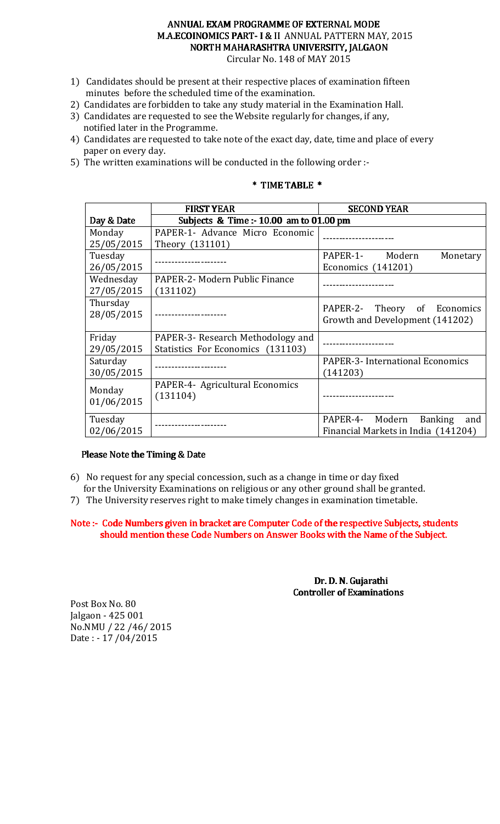# ANNUAL EXAM PROGRAMME OF EXTERNAL MODE M.A.ECOINOMICS PART-I & II ANNUAL PATTERN MAY, 2015 NORTH MAHARASHTRA UNIVERSITY, JALGAON

Circular No. 148 of MAY 2015

- 1) Candidates should be present at their respective places of examination fifteen minutes before the scheduled time of the examination.
- 2) Candidates are forbidden to take any study material in the Examination Hall.
- 3) Candidates are requested to see the Website regularly for changes, if any, notified later in the Programme.
- 4) Candidates are requested to take note of the exact day, date, time and place of every paper on every day.
- 5) The written examinations will be conducted in the following order :-

### \* TIME TABLE \* TIME \*

|            | <b>FIRST YEAR</b>                           | <b>SECOND YEAR</b>                      |
|------------|---------------------------------------------|-----------------------------------------|
| Day & Date | Subjects & Time :- $10.00$ am to $01.00$ pm |                                         |
| Monday     | PAPER-1- Advance Micro Economic             |                                         |
| 25/05/2015 | Theory (131101)                             |                                         |
| Tuesday    |                                             | PAPER-1- Modern<br>Monetary             |
| 26/05/2015 |                                             | Economics $(141201)$                    |
| Wednesday  | PAPER-2- Modern Public Finance              |                                         |
| 27/05/2015 | (131102)                                    |                                         |
| Thursday   |                                             | PAPER-2- Theory of Economics            |
| 28/05/2015 |                                             | Growth and Development (141202)         |
|            |                                             |                                         |
| Friday     | PAPER-3- Research Methodology and           |                                         |
| 29/05/2015 | Statistics For Economics (131103)           |                                         |
| Saturday   |                                             | <b>PAPER-3- International Economics</b> |
| 30/05/2015 |                                             | (141203)                                |
| Monday     | PAPER-4- Agricultural Economics             |                                         |
|            | (131104)                                    |                                         |
| 01/06/2015 |                                             |                                         |
| Tuesday    |                                             | PAPER-4- Modern<br>Banking<br>and       |
| 02/06/2015 |                                             | Financial Markets in India (141204)     |

### Please Note the Timing & Date

- 6) No request for any special concession, such as a change in time or day fixed
- for the University Examinations on religious or any other ground shall be granted.
- 7) The University reserves right to make timely changes in examination timetable.

Note :- Code Numbers given in bracket are Computer Code of the respective Subjects, students should mention these Code Numbers on Answer Books with the Name of the Subject.

> Dr. D. N. Gujarathi Controller of Examinations

Post Box No. 80 Jalgaon - 425 001 No.NMU / 22 /46/ 2015 Date : - 17 /04/2015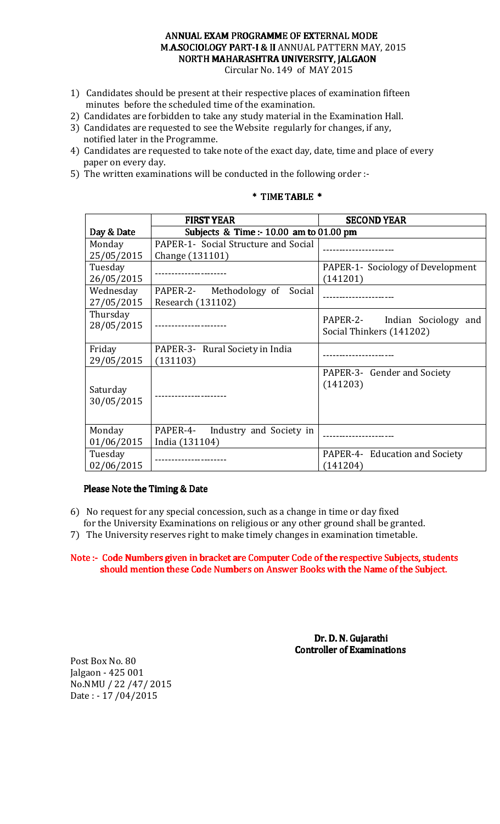## ANNUAL EXAM PROGRAMME OF EXTERNAL MODE M.A.SOCIOLOGY PART-I & II ANNUAL PATTERN MAY, 2015 NORTH MAHARASHTRA UNIVERSITY, JALGAON

Circular No. 149 of MAY 2015

- 1) Candidates should be present at their respective places of examination fifteen minutes before the scheduled time of the examination.
- 2) Candidates are forbidden to take any study material in the Examination Hall.
- 3) Candidates are requested to see the Website regularly for changes, if any, notified later in the Programme.
- 4) Candidates are requested to take note of the exact day, date, time and place of every paper on every day.
- 5) The written examinations will be conducted in the following order :-

#### Day & Date FIRST YEAR SECOND YEAR Subjects & Time :- 10.00 am to 01.00 pm Monday 25/05/2015 PAPER-1- Social Structure and Social Change (131101) Tuesday 26/05/2015 ---------------------- PAPER-1- Sociology of Development (141201) Wednesday 27/05/2015 PAPER-2- Methodology of Social  $Research (131102)$   $Reserch (131102)$ Thursday 28/05/2015 ---------------------- PAPER-2- Indian Sociology and Social Thinkers (141202) Friday 29/05/2015 PAPER-3- Rural Society in India (131103) ---------------------- Saturday 30/05/2015 PAPER-3- Gender and Society (141203) Monday 01/06/2015 PAPER-4- Industry and Society in India (131104) ---------------------- Tuesday 02/06/2015 ---------------------- PAPER-4- Education and Society (141204)

# \* TIME TABLE \* TIME \*

### Please Note the Timing & Date

- 6) No request for any special concession, such as a change in time or day fixed for the University Examinations on religious or any other ground shall be granted.
- 7) The University reserves right to make timely changes in examination timetable.

### Note :- Code Numbers given in bracket are Computer Code of the respective Subjects, students should mention these Code Numbers on Answer Books with the Name of the Subject.

 Dr. D. N. Gujarathi Controller of Examinations

Post Box No. 80 Jalgaon - 425 001 No.NMU / 22 /47/ 2015 Date : - 17 /04/2015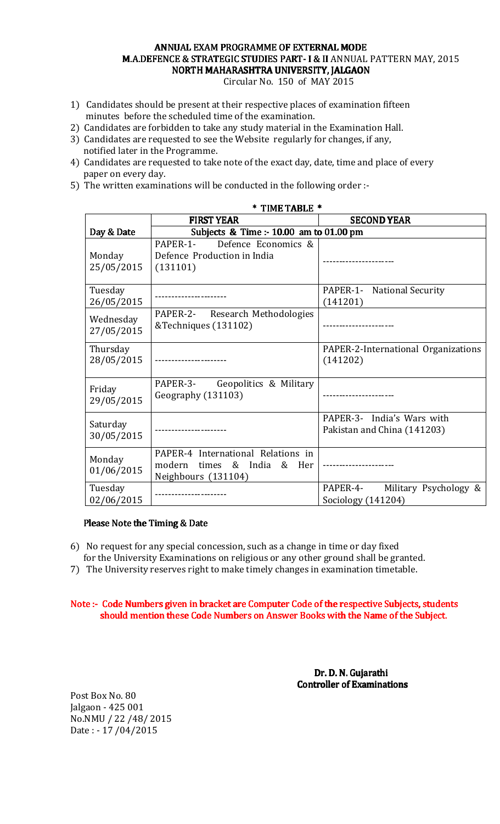### ANNUAL EXAM PROGRAMME OF EXTERNAL MODE M.A.DEFENCE & STRATEGIC STUDIES PART- I & II ANNUAL PATTERN MAY, 2015 NORTH MAHARASHTRA UNIVERSITY, JALGAON

Circular No. 150 of MAY 2015

- 1) Candidates should be present at their respective places of examination fifteen minutes before the scheduled time of the examination.
- 2) Candidates are forbidden to take any study material in the Examination Hall.
- 3) Candidates are requested to see the Website regularly for changes, if any, notified later in the Programme.
- 4) Candidates are requested to take note of the exact day, date, time and place of every paper on every day.
- 5) The written examinations will be conducted in the following order :-

|                        | тичь провы<br><b>FIRST YEAR</b>                         | <b>SECOND YEAR</b>                  |
|------------------------|---------------------------------------------------------|-------------------------------------|
| Day & Date             | Subjects & Time :- 10.00 am to 01.00 pm                 |                                     |
|                        | Defence Economics &<br>PAPER-1-                         |                                     |
| Monday                 | Defence Production in India                             |                                     |
| 25/05/2015             | (131101)                                                |                                     |
| Tuesday                |                                                         | PAPER-1- National Security          |
| 26/05/2015             |                                                         | (141201)                            |
| Wednesday              | PAPER-2- Research Methodologies<br>&Techniques (131102) |                                     |
| 27/05/2015             |                                                         |                                     |
| Thursday               |                                                         | PAPER-2-International Organizations |
| 28/05/2015             |                                                         | (141202)                            |
| Friday                 | PAPER-3- Geopolitics & Military                         |                                     |
| 29/05/2015             | Geography (131103)                                      |                                     |
|                        |                                                         | PAPER-3- India's Wars with          |
| Saturday<br>30/05/2015 |                                                         | Pakistan and China (141203)         |
|                        | PAPER-4 International Relations in                      |                                     |
| Monday<br>01/06/2015   | modern times & India<br>&<br>Her                        |                                     |
|                        | Neighbours (131104)                                     |                                     |
| Tuesday                |                                                         | PAPER-4-<br>Military Psychology &   |
| 02/06/2015             |                                                         | Sociology (141204)                  |

# $*$  TIME TABLE  $*$

### Please Note the Timing & Date

- 6) No request for any special concession, such as a change in time or day fixed
- for the University Examinations on religious or any other ground shall be granted.
- 7) The University reserves right to make timely changes in examination timetable.

### Note :- Code Numbers given in bracket are Computer Code of the respective Subjects, students should mention these Code Numbers on Answer Books with the Name of the Subject.

 Dr.D. N. Gujarathi Controller of Examinations

Post Box No. 80 Jalgaon - 425 001 No.NMU / 22 /48/ 2015 Date : - 17 /04/2015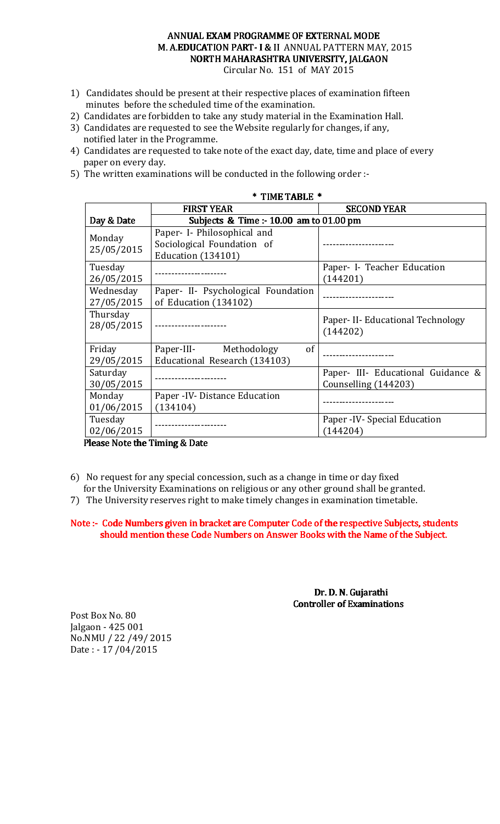# ANNUAL EXAM PROGRAMME OF EXTERNAL MODE M. A.EDUCATION PART-I & II ANNUAL PATTERN MAY, 2015 NORTH MAHARASHTRA UNIVERSITY, JALGAON

Circular No. 151 of MAY 2015

- 1) Candidates should be present at their respective places of examination fifteen minutes before the scheduled time of the examination.
- 2) Candidates are forbidden to take any study material in the Examination Hall.
- 3) Candidates are requested to see the Website regularly for changes, if any, notified later in the Programme.
- 4) Candidates are requested to take note of the exact day, date, time and place of every paper on every day.
- 5) The written examinations will be conducted in the following order :-

| * TIME TABLE *         |                                                               |                                               |  |
|------------------------|---------------------------------------------------------------|-----------------------------------------------|--|
|                        | <b>FIRST YEAR</b>                                             | <b>SECOND YEAR</b>                            |  |
| Day & Date             | Subjects & Time $: 10.00$ am to 01.00 pm                      |                                               |  |
| Monday                 | Paper- I- Philosophical and<br>Sociological Foundation of     |                                               |  |
| 25/05/2015             | Education (134101)                                            |                                               |  |
| Tuesday                |                                                               | Paper- I- Teacher Education                   |  |
| 26/05/2015             |                                                               | (144201)                                      |  |
| Wednesday              | Paper- II- Psychological Foundation                           | ---------------                               |  |
| 27/05/2015             | of Education (134102)                                         |                                               |  |
| Thursday<br>28/05/2015 |                                                               | Paper- II- Educational Technology<br>(144202) |  |
| Friday<br>29/05/2015   | of<br>Paper-III- Methodology<br>Educational Research (134103) |                                               |  |
| Saturday               |                                                               | Paper- III- Educational Guidance &            |  |
| 30/05/2015             |                                                               | Counselling (144203)                          |  |
| Monday                 | Paper - IV- Distance Education                                |                                               |  |
| 01/06/2015             | (134104)                                                      |                                               |  |
| Tuesday                |                                                               | Paper - IV - Special Education                |  |
| 02/06/2015             |                                                               | (144204)                                      |  |

Please Note the Timing & Date

- 6) No request for any special concession, such as a change in time or day fixed
- for the University Examinations on religious or any other ground shall be granted.
- 7) The University reserves right to make timely changes in examination timetable.

Note :- Code Numbers given in bracket are Computer Code of the respective Subjects, students should mention these Code Numbers on Answer Books with the Name of the Subject.

> Dr. D. N. Gujarathi Controller of Examinations

Post Box No. 80 Jalgaon - 425 001 No.NMU / 22 /49/ 2015 Date : - 17 /04/2015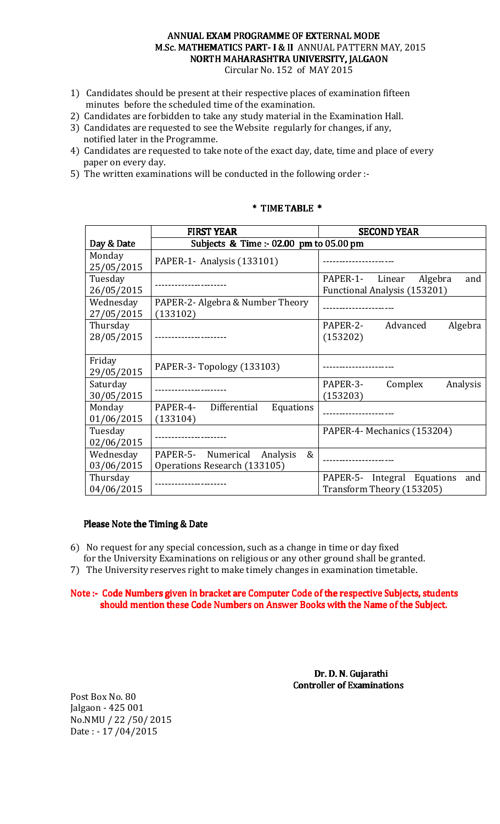## ANNUAL EXAM PROGRAMME OF EXTERNAL MODE M.Sc. MATHEMATICS PART- I & II ANNUAL PATTERN MAY, 2015 NORTH MAHARASHTRA UNIVERSITY, JALGAON

Circular No. 152 of MAY 2015

- 1) Candidates should be present at their respective places of examination fifteen minutes before the scheduled time of the examination.
- 2) Candidates are forbidden to take any study material in the Examination Hall.
- 3) Candidates are requested to see the Website regularly for changes, if any, notified later in the Programme.
- 4) Candidates are requested to take note of the exact day, date, time and place of every paper on every day.
- 5) The written examinations will be conducted in the following order :-

|                                                       | <b>FIRST YEAR</b>                                                   | <b>SECOND YEAR</b>                                                 |
|-------------------------------------------------------|---------------------------------------------------------------------|--------------------------------------------------------------------|
| Subjects & Time :- 02.00 pm to 05.00 pm<br>Day & Date |                                                                     |                                                                    |
| Monday<br>25/05/2015                                  | PAPER-1- Analysis (133101)                                          |                                                                    |
| Tuesday<br>26/05/2015                                 |                                                                     | PAPER-1- Linear<br>Algebra<br>and<br>Functional Analysis (153201)  |
| Wednesday<br>27/05/2015                               | PAPER-2- Algebra & Number Theory<br>(133102)                        |                                                                    |
| Thursday<br>28/05/2015                                |                                                                     | Algebra<br>PAPER-2-<br>Advanced<br>(153202)                        |
| Friday<br>29/05/2015                                  | PAPER-3-Topology (133103)                                           |                                                                    |
| Saturday<br>30/05/2015                                |                                                                     | PAPER-3-<br>Complex<br>Analysis<br>(153203)                        |
| Monday<br>01/06/2015                                  | Differential<br>PAPER-4-<br>Equations<br>(133104)                   |                                                                    |
| Tuesday<br>02/06/2015                                 |                                                                     | PAPER-4- Mechanics (153204)                                        |
| Wednesday<br>03/06/2015                               | PAPER-5- Numerical<br>&<br>Analysis<br>Operations Research (133105) |                                                                    |
| Thursday<br>04/06/2015                                |                                                                     | Integral Equations<br>PAPER-5-<br>and<br>Transform Theory (153205) |

### \* TIME TABLE \* TIME \*

### Please Note the Timing & Date

- 6) No request for any special concession, such as a change in time or day fixed for the University Examinations on religious or any other ground shall be granted.
- 7) The University reserves right to make timely changes in examination timetable.

Note :- Code Numbers given in bracket are Computer Code of the respective Subjects, students should mention these Code Numbers on Answer Books with the Name of the Subject.

> Dr. D. N. Gujarathi **Controller of Examinations**

Post Box No. 80 Jalgaon - 425 001 No.NMU / 22 /50/ 2015 Date : - 17 /04/2015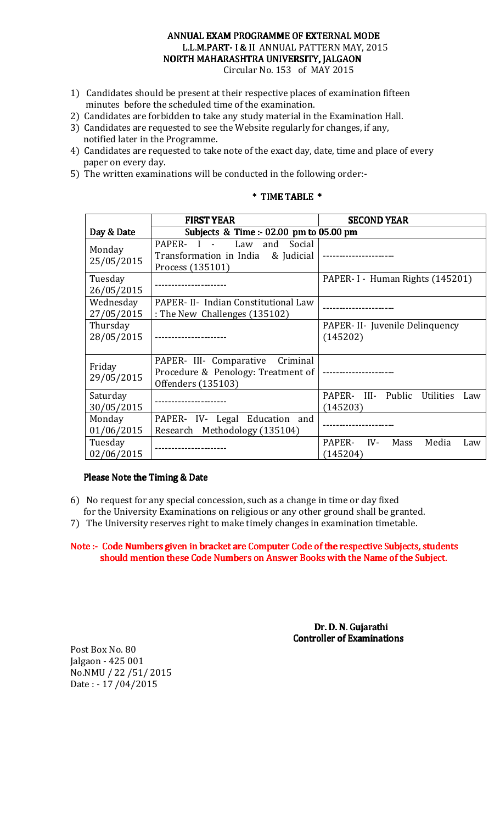# ANNUAL EXAM PROGRAMME OF EXTERNAL MODE L.L.M.PART-I & II ANNUAL PATTERN MAY, 2015 NORTH MAHARASHTRA UNIVERSITY, JALGAON

Circular No. 153 of MAY 2015

- 1) Candidates should be present at their respective places of examination fifteen minutes before the scheduled time of the examination.
- 2) Candidates are forbidden to take any study material in the Examination Hall.
- 3) Candidates are requested to see the Website regularly for changes, if any, notified later in the Programme.
- 4) Candidates are requested to take note of the exact day, date, time and place of every paper on every day.
- 5) The written examinations will be conducted in the following order:-

#### Day & Date FIRST YEAR SECOND YEAR Subjects & Time :- 02.00 pm to 05.00 pm Monday 25/05/2015 PAPER- I - Law and Social Transformation in India & Judicial Process (135101) ---------------------- Tuesday 26/05/2015 ---------------------- PAPER- I - Human Rights (145201) Wednesday 27/05/2015 PAPER- II- Indian Constitutional Law TATER- II- Indian Constitutional Law<br>: The New Challenges (135102) Thursday 28/05/2015 ---------------------- PAPER- II- Juvenile Delinquency (145202) Friday 29/05/2015 PAPER- III- Comparative Criminal Procedure & Penology: Treatment of Offenders (135103) ---------------------- Saturday 30/05/2015 ---------------------- PAPER- III- Public Utilities Law (145203) Monday 01/06/2015 PAPER- IV- Legal Education and Research Methodology (135104) Tuesday 02/06/2015 ---------------------- PAPER- IV- Mass Media Law (145204)

# \* TIME TABLE \* TIME \*

### Please Note the Timing & Date

- 6) No request for any special concession, such as a change in time or day fixed for the University Examinations on religious or any other ground shall be granted.
- 7) The University reserves right to make timely changes in examination timetable.

Note :- Code Numbers given in bracket are Computer Code of the respective Subjects, students should mention these Code Numbers on Answer Books with the Name of the Subject.

> Dr. D. N. Gujarathi **Controller of Examinations**

Post Box No. 80 Jalgaon - 425 001 No.NMU / 22 /51/ 2015 Date : - 17 /04/2015